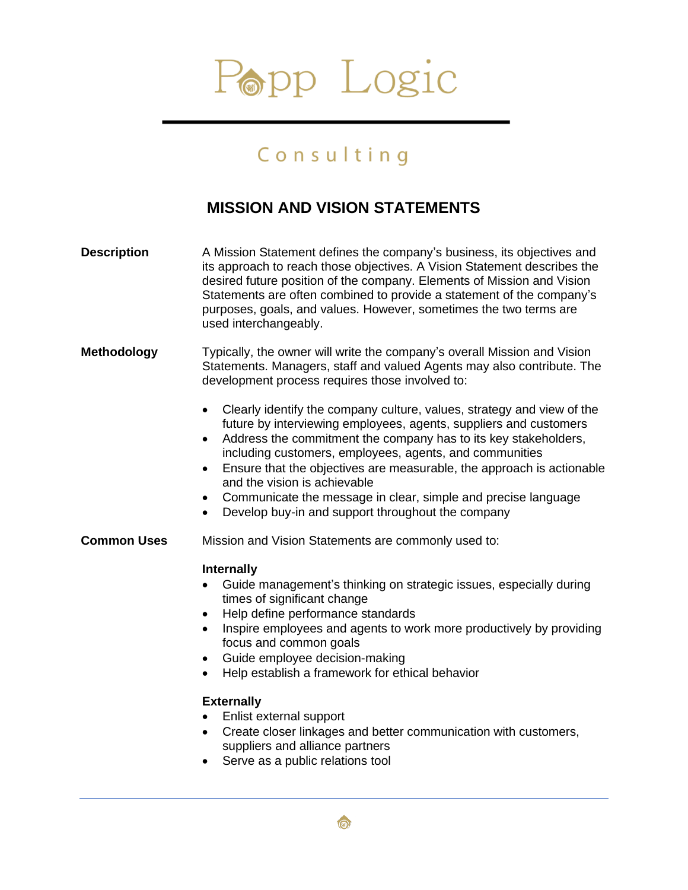# Popp Logic

### Consulting

#### **MISSION AND VISION STATEMENTS**

| <b>Description</b> | A Mission Statement defines the company's business, its objectives and<br>its approach to reach those objectives. A Vision Statement describes the<br>desired future position of the company. Elements of Mission and Vision<br>Statements are often combined to provide a statement of the company's<br>purposes, goals, and values. However, sometimes the two terms are<br>used interchangeably.                                                                                                                                             |
|--------------------|-------------------------------------------------------------------------------------------------------------------------------------------------------------------------------------------------------------------------------------------------------------------------------------------------------------------------------------------------------------------------------------------------------------------------------------------------------------------------------------------------------------------------------------------------|
| <b>Methodology</b> | Typically, the owner will write the company's overall Mission and Vision<br>Statements. Managers, staff and valued Agents may also contribute. The<br>development process requires those involved to:                                                                                                                                                                                                                                                                                                                                           |
|                    | Clearly identify the company culture, values, strategy and view of the<br>future by interviewing employees, agents, suppliers and customers<br>Address the commitment the company has to its key stakeholders,<br>$\bullet$<br>including customers, employees, agents, and communities<br>Ensure that the objectives are measurable, the approach is actionable<br>$\bullet$<br>and the vision is achievable<br>Communicate the message in clear, simple and precise language<br>Develop buy-in and support throughout the company<br>$\bullet$ |
| <b>Common Uses</b> | Mission and Vision Statements are commonly used to:                                                                                                                                                                                                                                                                                                                                                                                                                                                                                             |
|                    | <b>Internally</b><br>Guide management's thinking on strategic issues, especially during<br>times of significant change<br>Help define performance standards<br>$\bullet$<br>Inspire employees and agents to work more productively by providing<br>$\bullet$<br>focus and common goals<br>Guide employee decision-making<br>Help establish a framework for ethical behavior                                                                                                                                                                     |
|                    | <b>Externally</b><br>Enlist external support<br>Create closer linkages and better communication with customers,<br>suppliers and alliance partners                                                                                                                                                                                                                                                                                                                                                                                              |

• Serve as a public relations tool

 $\circledcirc$